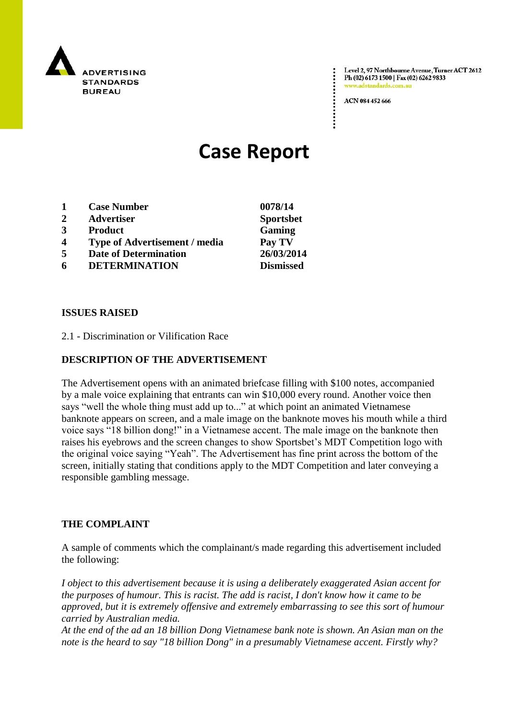

Level 2, 97 Northbourne Avenue, Turner ACT 2612 Ph (02) 6173 1500 | Fax (02) 6262 9833 .<br>adstandards.com.a

ACN 084 452 666

# **Case Report**

- **1 Case Number 0078/14**
- **2 Advertiser Sportsbet**
- **3 Product Gaming**
- **4 Type of Advertisement / media Pay TV**
- **5 Date of Determination 26/03/2014**
- **6 DETERMINATION Dismissed**

### **ISSUES RAISED**

2.1 - Discrimination or Vilification Race

## **DESCRIPTION OF THE ADVERTISEMENT**

The Advertisement opens with an animated briefcase filling with \$100 notes, accompanied by a male voice explaining that entrants can win \$10,000 every round. Another voice then says "well the whole thing must add up to..." at which point an animated Vietnamese banknote appears on screen, and a male image on the banknote moves his mouth while a third voice says "18 billion dong!" in a Vietnamese accent. The male image on the banknote then raises his eyebrows and the screen changes to show Sportsbet"s MDT Competition logo with the original voice saying "Yeah". The Advertisement has fine print across the bottom of the screen, initially stating that conditions apply to the MDT Competition and later conveying a responsible gambling message.

#### **THE COMPLAINT**

A sample of comments which the complainant/s made regarding this advertisement included the following:

*I object to this advertisement because it is using a deliberately exaggerated Asian accent for the purposes of humour. This is racist. The add is racist, I don't know how it came to be approved, but it is extremely offensive and extremely embarrassing to see this sort of humour carried by Australian media.*

*At the end of the ad an 18 billion Dong Vietnamese bank note is shown. An Asian man on the note is the heard to say "18 billion Dong" in a presumably Vietnamese accent. Firstly why?*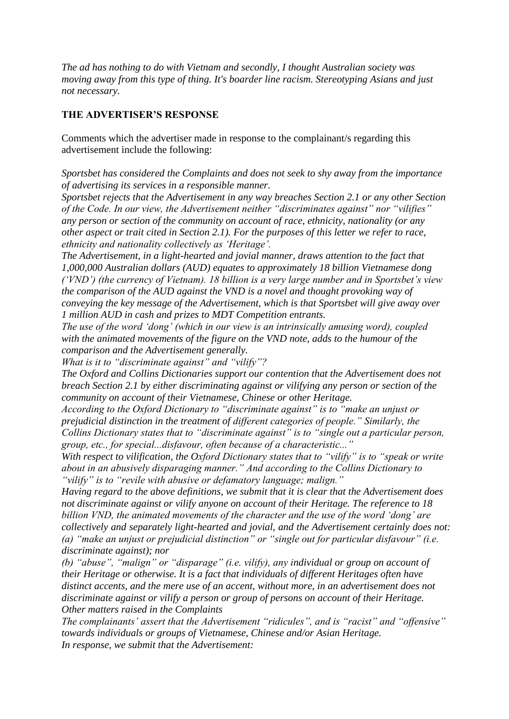*The ad has nothing to do with Vietnam and secondly, I thought Australian society was moving away from this type of thing. It's boarder line racism. Stereotyping Asians and just not necessary.*

## **THE ADVERTISER'S RESPONSE**

Comments which the advertiser made in response to the complainant/s regarding this advertisement include the following:

*Sportsbet has considered the Complaints and does not seek to shy away from the importance of advertising its services in a responsible manner.*

*Sportsbet rejects that the Advertisement in any way breaches Section 2.1 or any other Section of the Code. In our view, the Advertisement neither "discriminates against" nor "vilifies" any person or section of the community on account of race, ethnicity, nationality (or any other aspect or trait cited in Section 2.1). For the purposes of this letter we refer to race, ethnicity and nationality collectively as "Heritage".*

*The Advertisement, in a light-hearted and jovial manner, draws attention to the fact that 1,000,000 Australian dollars (AUD) equates to approximately 18 billion Vietnamese dong ("VND") (the currency of Vietnam). 18 billion is a very large number and in Sportsbet"s view the comparison of the AUD against the VND is a novel and thought provoking way of conveying the key message of the Advertisement, which is that Sportsbet will give away over 1 million AUD in cash and prizes to MDT Competition entrants.*

*The use of the word "dong" (which in our view is an intrinsically amusing word), coupled with the animated movements of the figure on the VND note, adds to the humour of the comparison and the Advertisement generally.*

*What is it to "discriminate against" and "vilify"?*

*The Oxford and Collins Dictionaries support our contention that the Advertisement does not breach Section 2.1 by either discriminating against or vilifying any person or section of the community on account of their Vietnamese, Chinese or other Heritage.*

*According to the Oxford Dictionary to "discriminate against" is to "make an unjust or prejudicial distinction in the treatment of different categories of people." Similarly, the Collins Dictionary states that to "discriminate against" is to "single out a particular person, group, etc., for special...disfavour, often because of a characteristic..."*

*With respect to vilification, the Oxford Dictionary states that to "vilify" is to "speak or write about in an abusively disparaging manner." And according to the Collins Dictionary to "vilify" is to "revile with abusive or defamatory language; malign."*

*Having regard to the above definitions, we submit that it is clear that the Advertisement does not discriminate against or vilify anyone on account of their Heritage. The reference to 18 billion VND, the animated movements of the character and the use of the word "dong" are collectively and separately light-hearted and jovial, and the Advertisement certainly does not: (a) "make an unjust or prejudicial distinction" or "single out for particular disfavour" (i.e. discriminate against); nor*

*(b) "abuse", "malign" or "disparage" (i.e. vilify), any individual or group on account of their Heritage or otherwise. It is a fact that individuals of different Heritages often have distinct accents, and the mere use of an accent, without more, in an advertisement does not discriminate against or vilify a person or group of persons on account of their Heritage. Other matters raised in the Complaints*

*The complainants" assert that the Advertisement "ridicules", and is "racist" and "offensive" towards individuals or groups of Vietnamese, Chinese and/or Asian Heritage. In response, we submit that the Advertisement:*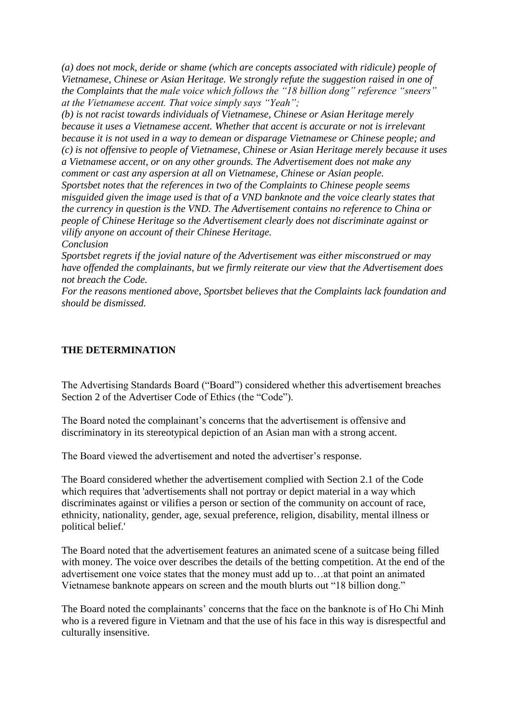*(a) does not mock, deride or shame (which are concepts associated with ridicule) people of Vietnamese, Chinese or Asian Heritage. We strongly refute the suggestion raised in one of the Complaints that the male voice which follows the "18 billion dong" reference "sneers" at the Vietnamese accent. That voice simply says "Yeah";*

*(b) is not racist towards individuals of Vietnamese, Chinese or Asian Heritage merely because it uses a Vietnamese accent. Whether that accent is accurate or not is irrelevant because it is not used in a way to demean or disparage Vietnamese or Chinese people; and (c) is not offensive to people of Vietnamese, Chinese or Asian Heritage merely because it uses a Vietnamese accent, or on any other grounds. The Advertisement does not make any comment or cast any aspersion at all on Vietnamese, Chinese or Asian people. Sportsbet notes that the references in two of the Complaints to Chinese people seems misguided given the image used is that of a VND banknote and the voice clearly states that the currency in question is the VND. The Advertisement contains no reference to China or people of Chinese Heritage so the Advertisement clearly does not discriminate against or vilify anyone on account of their Chinese Heritage.*

*Conclusion*

*Sportsbet regrets if the jovial nature of the Advertisement was either misconstrued or may have offended the complainants, but we firmly reiterate our view that the Advertisement does not breach the Code.*

*For the reasons mentioned above, Sportsbet believes that the Complaints lack foundation and should be dismissed.*

## **THE DETERMINATION**

The Advertising Standards Board ("Board") considered whether this advertisement breaches Section 2 of the Advertiser Code of Ethics (the "Code").

The Board noted the complainant's concerns that the advertisement is offensive and discriminatory in its stereotypical depiction of an Asian man with a strong accent.

The Board viewed the advertisement and noted the advertiser"s response.

The Board considered whether the advertisement complied with Section 2.1 of the Code which requires that 'advertisements shall not portray or depict material in a way which discriminates against or vilifies a person or section of the community on account of race, ethnicity, nationality, gender, age, sexual preference, religion, disability, mental illness or political belief.'

The Board noted that the advertisement features an animated scene of a suitcase being filled with money. The voice over describes the details of the betting competition. At the end of the advertisement one voice states that the money must add up to…at that point an animated Vietnamese banknote appears on screen and the mouth blurts out "18 billion dong."

The Board noted the complainants' concerns that the face on the banknote is of Ho Chi Minh who is a revered figure in Vietnam and that the use of his face in this way is disrespectful and culturally insensitive.